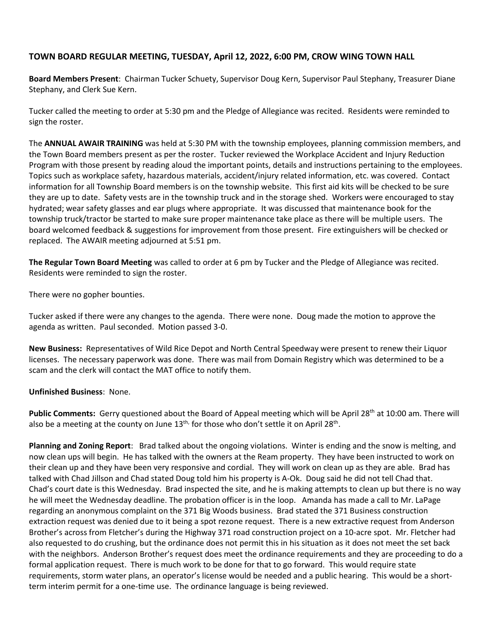## **TOWN BOARD REGULAR MEETING, TUESDAY, April 12, 2022, 6:00 PM, CROW WING TOWN HALL**

**Board Members Present**: Chairman Tucker Schuety, Supervisor Doug Kern, Supervisor Paul Stephany, Treasurer Diane Stephany, and Clerk Sue Kern.

Tucker called the meeting to order at 5:30 pm and the Pledge of Allegiance was recited. Residents were reminded to sign the roster.

The **ANNUAL AWAIR TRAINING** was held at 5:30 PM with the township employees, planning commission members, and the Town Board members present as per the roster. Tucker reviewed the Workplace Accident and Injury Reduction Program with those present by reading aloud the important points, details and instructions pertaining to the employees. Topics such as workplace safety, hazardous materials, accident/injury related information, etc. was covered. Contact information for all Township Board members is on the township website. This first aid kits will be checked to be sure they are up to date. Safety vests are in the township truck and in the storage shed. Workers were encouraged to stay hydrated; wear safety glasses and ear plugs where appropriate. It was discussed that maintenance book for the township truck/tractor be started to make sure proper maintenance take place as there will be multiple users. The board welcomed feedback & suggestions for improvement from those present. Fire extinguishers will be checked or replaced. The AWAIR meeting adjourned at 5:51 pm.

**The Regular Town Board Meeting** was called to order at 6 pm by Tucker and the Pledge of Allegiance was recited. Residents were reminded to sign the roster.

There were no gopher bounties.

Tucker asked if there were any changes to the agenda. There were none. Doug made the motion to approve the agenda as written. Paul seconded. Motion passed 3-0.

**New Business:** Representatives of Wild Rice Depot and North Central Speedway were present to renew their Liquor licenses. The necessary paperwork was done. There was mail from Domain Registry which was determined to be a scam and the clerk will contact the MAT office to notify them.

## **Unfinished Business**: None.

Public Comments: Gerry questioned about the Board of Appeal meeting which will be April 28<sup>th</sup> at 10:00 am. There will also be a meeting at the county on June  $13^{th}$ , for those who don't settle it on April 28<sup>th</sup>.

**Planning and Zoning Report**: Brad talked about the ongoing violations. Winter is ending and the snow is melting, and now clean ups will begin. He has talked with the owners at the Ream property. They have been instructed to work on their clean up and they have been very responsive and cordial. They will work on clean up as they are able. Brad has talked with Chad Jillson and Chad stated Doug told him his property is A-Ok. Doug said he did not tell Chad that. Chad's court date is this Wednesday. Brad inspected the site, and he is making attempts to clean up but there is no way he will meet the Wednesday deadline. The probation officer is in the loop. Amanda has made a call to Mr. LaPage regarding an anonymous complaint on the 371 Big Woods business. Brad stated the 371 Business construction extraction request was denied due to it being a spot rezone request. There is a new extractive request from Anderson Brother's across from Fletcher's during the Highway 371 road construction project on a 10-acre spot. Mr. Fletcher had also requested to do crushing, but the ordinance does not permit this in his situation as it does not meet the set back with the neighbors. Anderson Brother's request does meet the ordinance requirements and they are proceeding to do a formal application request. There is much work to be done for that to go forward. This would require state requirements, storm water plans, an operator's license would be needed and a public hearing. This would be a shortterm interim permit for a one-time use. The ordinance language is being reviewed.